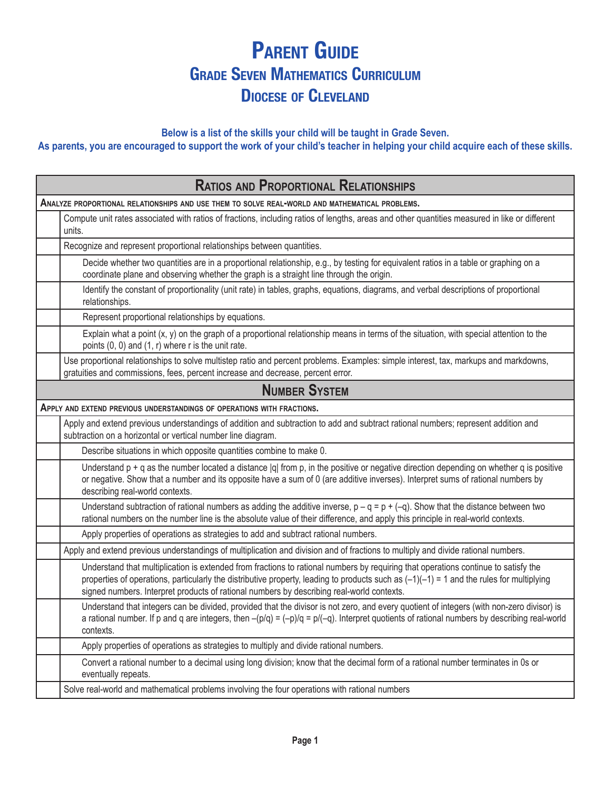## **Parent Guide Grade Seven Mathematics Curriculum Diocese of Cleveland**

**Below is a list of the skills your child will be taught in Grade Seven.** 

**As parents, you are encouraged to support the work of your child's teacher in helping your child acquire each of these skills.**

| <b>RATIOS AND PROPORTIONAL RELATIONSHIPS</b>                                                                                                                                                                                                                                                                                                                                  |  |  |
|-------------------------------------------------------------------------------------------------------------------------------------------------------------------------------------------------------------------------------------------------------------------------------------------------------------------------------------------------------------------------------|--|--|
| ANALYZE PROPORTIONAL RELATIONSHIPS AND USE THEM TO SOLVE REAL-WORLD AND MATHEMATICAL PROBLEMS.                                                                                                                                                                                                                                                                                |  |  |
| Compute unit rates associated with ratios of fractions, including ratios of lengths, areas and other quantities measured in like or different<br>units.                                                                                                                                                                                                                       |  |  |
| Recognize and represent proportional relationships between quantities.                                                                                                                                                                                                                                                                                                        |  |  |
| Decide whether two quantities are in a proportional relationship, e.g., by testing for equivalent ratios in a table or graphing on a<br>coordinate plane and observing whether the graph is a straight line through the origin.                                                                                                                                               |  |  |
| Identify the constant of proportionality (unit rate) in tables, graphs, equations, diagrams, and verbal descriptions of proportional<br>relationships.                                                                                                                                                                                                                        |  |  |
| Represent proportional relationships by equations.                                                                                                                                                                                                                                                                                                                            |  |  |
| Explain what a point (x, y) on the graph of a proportional relationship means in terms of the situation, with special attention to the<br>points $(0, 0)$ and $(1, r)$ where r is the unit rate.                                                                                                                                                                              |  |  |
| Use proportional relationships to solve multistep ratio and percent problems. Examples: simple interest, tax, markups and markdowns,<br>gratuities and commissions, fees, percent increase and decrease, percent error.                                                                                                                                                       |  |  |
| <b>NUMBER SYSTEM</b>                                                                                                                                                                                                                                                                                                                                                          |  |  |
| APPLY AND EXTEND PREVIOUS UNDERSTANDINGS OF OPERATIONS WITH FRACTIONS.                                                                                                                                                                                                                                                                                                        |  |  |
| Apply and extend previous understandings of addition and subtraction to add and subtract rational numbers; represent addition and<br>subtraction on a horizontal or vertical number line diagram.                                                                                                                                                                             |  |  |
| Describe situations in which opposite quantities combine to make 0.                                                                                                                                                                                                                                                                                                           |  |  |
| Understand $p + q$ as the number located a distance  q  from p, in the positive or negative direction depending on whether q is positive<br>or negative. Show that a number and its opposite have a sum of 0 (are additive inverses). Interpret sums of rational numbers by<br>describing real-world contexts.                                                                |  |  |
| Understand subtraction of rational numbers as adding the additive inverse, $p - q = p + (-q)$ . Show that the distance between two<br>rational numbers on the number line is the absolute value of their difference, and apply this principle in real-world contexts.                                                                                                         |  |  |
| Apply properties of operations as strategies to add and subtract rational numbers.                                                                                                                                                                                                                                                                                            |  |  |
| Apply and extend previous understandings of multiplication and division and of fractions to multiply and divide rational numbers.                                                                                                                                                                                                                                             |  |  |
| Understand that multiplication is extended from fractions to rational numbers by requiring that operations continue to satisfy the<br>properties of operations, particularly the distributive property, leading to products such as $(-1)(-1) = 1$ and the rules for multiplying<br>signed numbers. Interpret products of rational numbers by describing real-world contexts. |  |  |
| Understand that integers can be divided, provided that the divisor is not zero, and every quotient of integers (with non-zero divisor) is<br>a rational number. If p and q are integers, then $-(p/q) = (-p)/q = p/(-q)$ . Interpret quotients of rational numbers by describing real-world<br>contexts.                                                                      |  |  |
| Apply properties of operations as strategies to multiply and divide rational numbers.                                                                                                                                                                                                                                                                                         |  |  |
| Convert a rational number to a decimal using long division; know that the decimal form of a rational number terminates in 0s or<br>eventually repeats.                                                                                                                                                                                                                        |  |  |
| Solve real-world and mathematical problems involving the four operations with rational numbers                                                                                                                                                                                                                                                                                |  |  |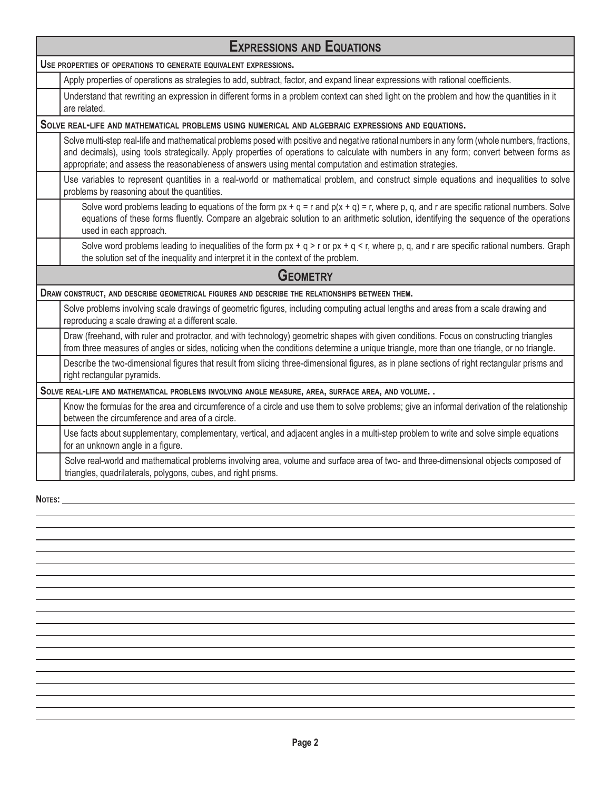| <b>EXPRESSIONS AND EQUATIONS</b>                                                                     |                                                                                                                                                                                                                                                                                                                                                                                                        |  |
|------------------------------------------------------------------------------------------------------|--------------------------------------------------------------------------------------------------------------------------------------------------------------------------------------------------------------------------------------------------------------------------------------------------------------------------------------------------------------------------------------------------------|--|
| USE PROPERTIES OF OPERATIONS TO GENERATE EQUIVALENT EXPRESSIONS.                                     |                                                                                                                                                                                                                                                                                                                                                                                                        |  |
|                                                                                                      | Apply properties of operations as strategies to add, subtract, factor, and expand linear expressions with rational coefficients.                                                                                                                                                                                                                                                                       |  |
|                                                                                                      | Understand that rewriting an expression in different forms in a problem context can shed light on the problem and how the quantities in it<br>are related.                                                                                                                                                                                                                                             |  |
| SOLVE REAL-LIFE AND MATHEMATICAL PROBLEMS USING NUMERICAL AND ALGEBRAIC EXPRESSIONS AND EQUATIONS.   |                                                                                                                                                                                                                                                                                                                                                                                                        |  |
|                                                                                                      | Solve multi-step real-life and mathematical problems posed with positive and negative rational numbers in any form (whole numbers, fractions,<br>and decimals), using tools strategically. Apply properties of operations to calculate with numbers in any form; convert between forms as<br>appropriate; and assess the reasonableness of answers using mental computation and estimation strategies. |  |
|                                                                                                      | Use variables to represent quantities in a real-world or mathematical problem, and construct simple equations and inequalities to solve<br>problems by reasoning about the quantities.                                                                                                                                                                                                                 |  |
|                                                                                                      | Solve word problems leading to equations of the form $px + q = r$ and $p(x + q) = r$ , where p, q, and r are specific rational numbers. Solve<br>equations of these forms fluently. Compare an algebraic solution to an arithmetic solution, identifying the sequence of the operations<br>used in each approach.                                                                                      |  |
|                                                                                                      | Solve word problems leading to inequalities of the form $px + q > r$ or $px + q < r$ , where p, q, and r are specific rational numbers. Graph<br>the solution set of the inequality and interpret it in the context of the problem.                                                                                                                                                                    |  |
| GEOMETRY                                                                                             |                                                                                                                                                                                                                                                                                                                                                                                                        |  |
| DRAW CONSTRUCT, AND DESCRIBE GEOMETRICAL FIGURES AND DESCRIBE THE RELATIONSHIPS BETWEEN THEM.        |                                                                                                                                                                                                                                                                                                                                                                                                        |  |
|                                                                                                      | Solve problems involving scale drawings of geometric figures, including computing actual lengths and areas from a scale drawing and<br>reproducing a scale drawing at a different scale.                                                                                                                                                                                                               |  |
|                                                                                                      | Draw (freehand, with ruler and protractor, and with technology) geometric shapes with given conditions. Focus on constructing triangles<br>from three measures of angles or sides, noticing when the conditions determine a unique triangle, more than one triangle, or no triangle.                                                                                                                   |  |
|                                                                                                      | Describe the two-dimensional figures that result from slicing three-dimensional figures, as in plane sections of right rectangular prisms and<br>right rectangular pyramids.                                                                                                                                                                                                                           |  |
| SOLVE REAL-LIFE AND MATHEMATICAL PROBLEMS INVOLVING ANGLE MEASURE, AREA, SURFACE AREA, AND VOLUME. . |                                                                                                                                                                                                                                                                                                                                                                                                        |  |
|                                                                                                      | Know the formulas for the area and circumference of a circle and use them to solve problems; give an informal derivation of the relationship<br>between the circumference and area of a circle.                                                                                                                                                                                                        |  |
|                                                                                                      | Use facts about supplementary, complementary, vertical, and adjacent angles in a multi-step problem to write and solve simple equations<br>for an unknown angle in a figure.                                                                                                                                                                                                                           |  |
|                                                                                                      | Solve real-world and mathematical problems involving area, volume and surface area of two- and three-dimensional objects composed of<br>triangles, quadrilaterals, polygons, cubes, and right prisms.                                                                                                                                                                                                  |  |

Notes: